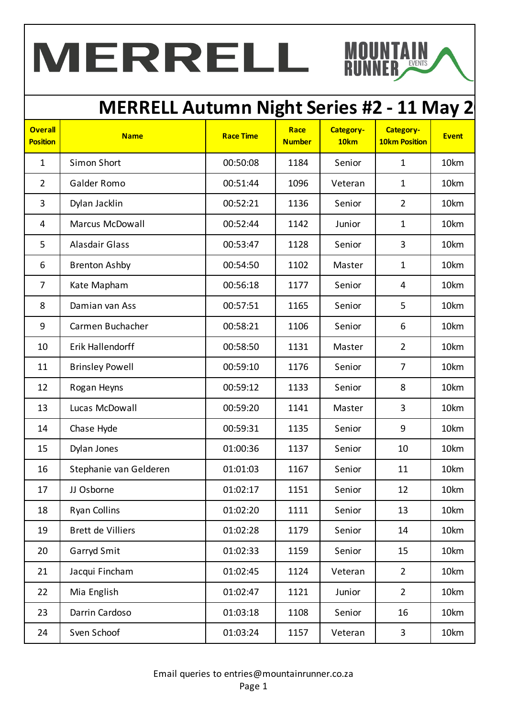# MERRELL

#### **MERRELL Autumn Night Series #2 - 11 May 2**

**NTAIN** 

| <b>Overall</b><br><b>Position</b> | <b>Name</b>            | <b>Race Time</b> | Race<br><b>Number</b> | Category-<br>10 <sub>km</sub> | <b>Category-</b><br><b>10km Position</b> | <b>Event</b> |
|-----------------------------------|------------------------|------------------|-----------------------|-------------------------------|------------------------------------------|--------------|
| $\mathbf{1}$                      | Simon Short            | 00:50:08         | 1184                  | Senior                        | $\mathbf{1}$                             | 10km         |
| $\overline{2}$                    | Galder Romo            | 00:51:44         | 1096                  | Veteran                       | $\mathbf{1}$                             | 10km         |
| 3                                 | Dylan Jacklin          | 00:52:21         | 1136                  | Senior                        | $\overline{2}$                           | 10km         |
| 4                                 | <b>Marcus McDowall</b> | 00:52:44         | 1142                  | Junior                        | $\mathbf{1}$                             | 10km         |
| 5                                 | <b>Alasdair Glass</b>  | 00:53:47         | 1128                  | Senior                        | 3                                        | 10km         |
| 6                                 | <b>Brenton Ashby</b>   | 00:54:50         | 1102                  | Master                        | $\mathbf{1}$                             | 10km         |
| $\overline{7}$                    | Kate Mapham            | 00:56:18         | 1177                  | Senior                        | $\overline{4}$                           | 10km         |
| 8                                 | Damian van Ass         | 00:57:51         | 1165                  | Senior                        | 5                                        | 10km         |
| 9                                 | Carmen Buchacher       | 00:58:21         | 1106                  | Senior                        | 6                                        | 10km         |
| 10                                | Erik Hallendorff       | 00:58:50         | 1131                  | Master                        | $\overline{2}$                           | 10km         |
| 11                                | <b>Brinsley Powell</b> | 00:59:10         | 1176                  | Senior                        | $\overline{7}$                           | 10km         |
| 12                                | Rogan Heyns            | 00:59:12         | 1133                  | Senior                        | 8                                        | 10km         |
| 13                                | Lucas McDowall         | 00:59:20         | 1141                  | Master                        | 3                                        | 10km         |
| 14                                | Chase Hyde             | 00:59:31         | 1135                  | Senior                        | 9                                        | 10km         |
| 15                                | Dylan Jones            | 01:00:36         | 1137                  | Senior                        | 10                                       | 10km         |
| 16                                | Stephanie van Gelderen | 01:01:03         | 1167                  | Senior                        | 11                                       | 10km         |
| 17                                | JJ Osborne             | 01:02:17         | 1151                  | Senior                        | 12                                       | 10km         |
| 18                                | <b>Ryan Collins</b>    | 01:02:20         | 1111                  | Senior                        | 13                                       | 10km         |
| 19                                | Brett de Villiers      | 01:02:28         | 1179                  | Senior                        | 14                                       | 10km         |
| 20                                | Garryd Smit            | 01:02:33         | 1159                  | Senior                        | 15                                       | 10km         |
| 21                                | Jacqui Fincham         | 01:02:45         | 1124                  | Veteran                       | $\overline{2}$                           | 10km         |
| 22                                | Mia English            | 01:02:47         | 1121                  | Junior                        | $\overline{2}$                           | 10km         |
| 23                                | Darrin Cardoso         | 01:03:18         | 1108                  | Senior                        | 16                                       | 10km         |
| 24                                | Sven Schoof            | 01:03:24         | 1157                  | Veteran                       | $\mathbf{3}$                             | 10km         |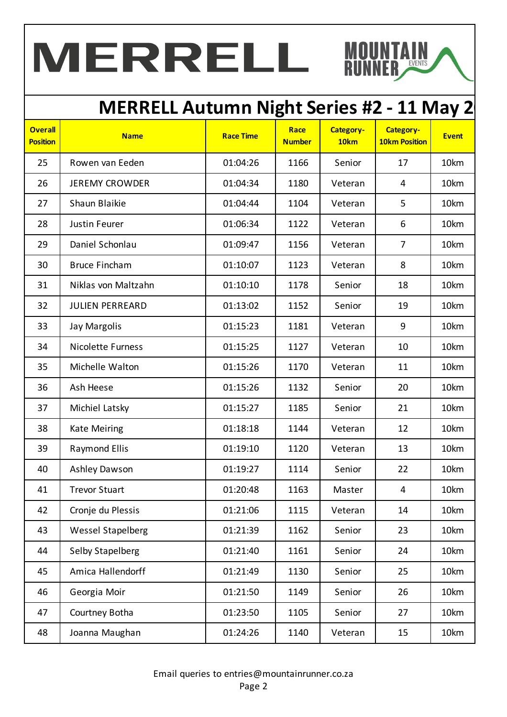# MERRELL

#### **MERRELL Autumn Night Series #2 - 11 May 2**

**NTAIN** 

| <b>Overall</b><br><b>Position</b> | <b>Name</b>              | <b>Race Time</b> | Race<br><b>Number</b> | Category-<br>10 <sub>km</sub> | <b>Category-</b><br><b>10km Position</b> | <b>Event</b> |
|-----------------------------------|--------------------------|------------------|-----------------------|-------------------------------|------------------------------------------|--------------|
| 25                                | Rowen van Eeden          | 01:04:26         | 1166                  | Senior                        | 17                                       | 10km         |
| 26                                | <b>JEREMY CROWDER</b>    | 01:04:34         | 1180                  | Veteran                       | 4                                        | 10km         |
| 27                                | Shaun Blaikie            | 01:04:44         | 1104                  | Veteran                       | 5                                        | 10km         |
| 28                                | Justin Feurer            | 01:06:34         | 1122                  | Veteran                       | 6                                        | 10km         |
| 29                                | Daniel Schonlau          | 01:09:47         | 1156                  | Veteran                       | $\overline{7}$                           | 10km         |
| 30                                | <b>Bruce Fincham</b>     | 01:10:07         | 1123                  | Veteran                       | 8                                        | 10km         |
| 31                                | Niklas von Maltzahn      | 01:10:10         | 1178                  | Senior                        | 18                                       | 10km         |
| 32                                | <b>JULIEN PERREARD</b>   | 01:13:02         | 1152                  | Senior                        | 19                                       | 10km         |
| 33                                | <b>Jay Margolis</b>      | 01:15:23         | 1181                  | Veteran                       | 9                                        | 10km         |
| 34                                | <b>Nicolette Furness</b> | 01:15:25         | 1127                  | Veteran                       | 10                                       | 10km         |
| 35                                | Michelle Walton          | 01:15:26         | 1170                  | Veteran                       | 11                                       | 10km         |
| 36                                | Ash Heese                | 01:15:26         | 1132                  | Senior                        | 20                                       | 10km         |
| 37                                | Michiel Latsky           | 01:15:27         | 1185                  | Senior                        | 21                                       | 10km         |
| 38                                | <b>Kate Meiring</b>      | 01:18:18         | 1144                  | Veteran                       | 12                                       | 10km         |
| 39                                | <b>Raymond Ellis</b>     | 01:19:10         | 1120                  | Veteran                       | 13                                       | 10km         |
| 40                                | Ashley Dawson            | 01:19:27         | 1114                  | Senior                        | 22                                       | 10km         |
| 41                                | <b>Trevor Stuart</b>     | 01:20:48         | 1163                  | Master                        | $\overline{4}$                           | 10km         |
| 42                                | Cronje du Plessis        | 01:21:06         | 1115                  | Veteran                       | 14                                       | 10km         |
| 43                                | <b>Wessel Stapelberg</b> | 01:21:39         | 1162                  | Senior                        | 23                                       | 10km         |
| 44                                | <b>Selby Stapelberg</b>  | 01:21:40         | 1161                  | Senior                        | 24                                       | 10km         |
| 45                                | Amica Hallendorff        | 01:21:49         | 1130                  | Senior                        | 25                                       | 10km         |
| 46                                | Georgia Moir             | 01:21:50         | 1149                  | Senior                        | 26                                       | 10km         |
| 47                                | Courtney Botha           | 01:23:50         | 1105                  | Senior                        | 27                                       | 10km         |
| 48                                | Joanna Maughan           | 01:24:26         | 1140                  | Veteran                       | 15                                       | 10km         |